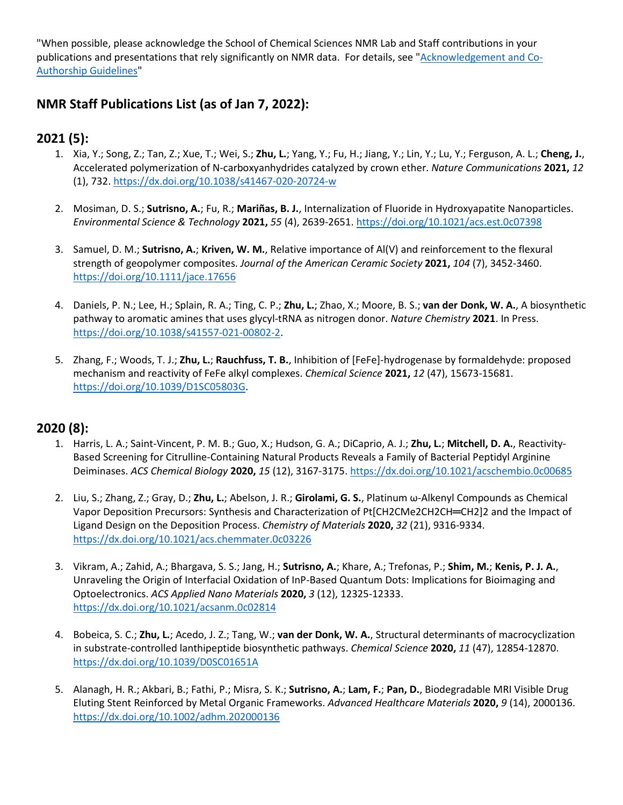"When possible, please acknowledge the School of Chemical Sciences NMR Lab and Staff contributions in your publications and presentations that rely significantly on NMR data. For details, see ["Acknowledgement and Co-](https://scs.illinois.edu/system/files/2020-03/Acknowledgment%20and%20Co-Authorship%20Guidelines%20-%2025%20Mar%202020.pdf)[Authorship Guidelines"](https://scs.illinois.edu/system/files/2020-03/Acknowledgment%20and%20Co-Authorship%20Guidelines%20-%2025%20Mar%202020.pdf)

#### **NMR Staff Publications List (as of Jan 7, 2022):**

## **2021 (5):**

- 1. Xia, Y.; Song, Z.; Tan, Z.; Xue, T.; Wei, S.; **Zhu, L.**; Yang, Y.; Fu, H.; Jiang, Y.; Lin, Y.; Lu, Y.; Ferguson, A. L.; **Cheng, J.**, Accelerated polymerization of N-carboxyanhydrides catalyzed by crown ether. *Nature Communications* **2021,** *12* (1), 732[. https://dx.doi.org/10.1038/s41467-020-20724-w](https://dx.doi.org/10.1038/s41467-020-20724-w)
- 2. Mosiman, D. S.; **Sutrisno, A.**; Fu, R.; **Mariñas, B. J.**, Internalization of Fluoride in Hydroxyapatite Nanoparticles. *Environmental Science & Technology* **2021,** *55* (4), 2639-2651.<https://doi.org/10.1021/acs.est.0c07398>
- 3. Samuel, D. M.; **Sutrisno, A.**; **Kriven, W. M.**, Relative importance of Al(V) and reinforcement to the flexural strength of geopolymer composites. *Journal of the American Ceramic Society* **2021,** *104* (7), 3452-3460. <https://doi.org/10.1111/jace.17656>
- 4. Daniels, P. N.; Lee, H.; Splain, R. A.; Ting, C. P.; **Zhu, L.**; Zhao, X.; Moore, B. S.; **van der Donk, W. A.**, A biosynthetic pathway to aromatic amines that uses glycyl-tRNA as nitrogen donor. *Nature Chemistry* **2021**. In Press. [https://doi.org/10.1038/s41557-021-00802-2.](https://doi.org/10.1038/s41557-021-00802-2)
- 5. Zhang, F.; Woods, T. J.; **Zhu, L.**; **Rauchfuss, T. B.**, Inhibition of [FeFe]-hydrogenase by formaldehyde: proposed mechanism and reactivity of FeFe alkyl complexes. *Chemical Science* **2021,** *12* (47), 15673-15681. [https://doi.org/10.1039/D1SC05803G.](https://doi.org/10.1039/D1SC05803G)

#### **2020 (8):**

- 1. Harris, L. A.; Saint-Vincent, P. M. B.; Guo, X.; Hudson, G. A.; DiCaprio, A. J.; **Zhu, L.**; **Mitchell, D. A.**, Reactivity-Based Screening for Citrulline-Containing Natural Products Reveals a Family of Bacterial Peptidyl Arginine Deiminases. *ACS Chemical Biology* **2020,** *15* (12), 3167-3175.<https://dx.doi.org/10.1021/acschembio.0c00685>
- 2. Liu, S.; Zhang, Z.; Gray, D.; **Zhu, L.**; Abelson, J. R.; **Girolami, G. S.**, Platinum ω-Alkenyl Compounds as Chemical Vapor Deposition Precursors: Synthesis and Characterization of Pt[CH2CMe2CH2CH═CH2]2 and the Impact of Ligand Design on the Deposition Process. *Chemistry of Materials* **2020,** *32* (21), 9316-9334. <https://dx.doi.org/10.1021/acs.chemmater.0c03226>
- 3. Vikram, A.; Zahid, A.; Bhargava, S. S.; Jang, H.; **Sutrisno, A.**; Khare, A.; Trefonas, P.; **Shim, M.**; **Kenis, P. J. A.**, Unraveling the Origin of Interfacial Oxidation of InP-Based Quantum Dots: Implications for Bioimaging and Optoelectronics. *ACS Applied Nano Materials* **2020,** *3* (12), 12325-12333. <https://dx.doi.org/10.1021/acsanm.0c02814>
- 4. Bobeica, S. C.; **Zhu, L.**; Acedo, J. Z.; Tang, W.; **van der Donk, W. A.**, Structural determinants of macrocyclization in substrate-controlled lanthipeptide biosynthetic pathways. *Chemical Science* **2020,** *11* (47), 12854-12870. <https://dx.doi.org/10.1039/D0SC01651A>
- 5. Alanagh, H. R.; Akbari, B.; Fathi, P.; Misra, S. K.; **Sutrisno, A.**; **Lam, F.**; **Pan, D.**, Biodegradable MRI Visible Drug Eluting Stent Reinforced by Metal Organic Frameworks. *Advanced Healthcare Materials* **2020,** *9* (14), 2000136. <https://dx.doi.org/10.1002/adhm.202000136>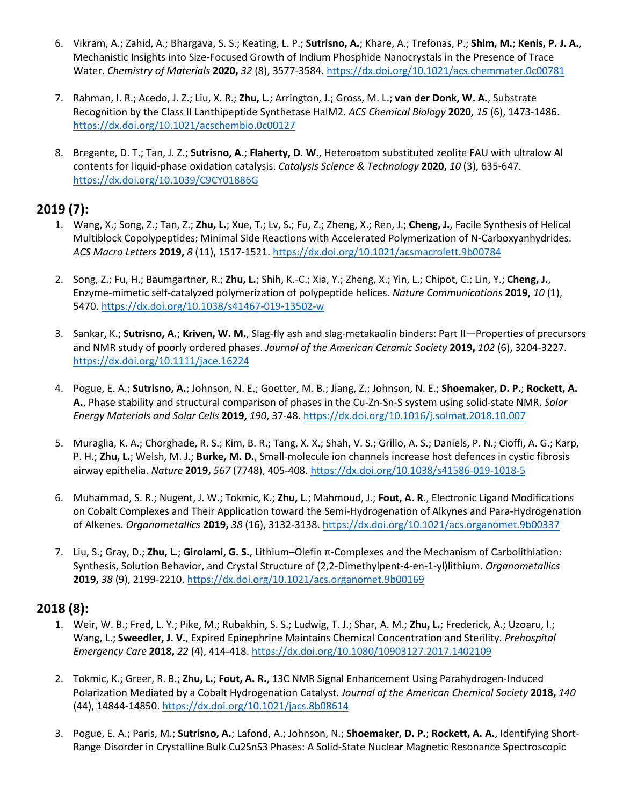- 6. Vikram, A.; Zahid, A.; Bhargava, S. S.; Keating, L. P.; **Sutrisno, A.**; Khare, A.; Trefonas, P.; **Shim, M.**; **Kenis, P. J. A.**, Mechanistic Insights into Size-Focused Growth of Indium Phosphide Nanocrystals in the Presence of Trace Water. *Chemistry of Materials* **2020,** *32* (8), 3577-3584.<https://dx.doi.org/10.1021/acs.chemmater.0c00781>
- 7. Rahman, I. R.; Acedo, J. Z.; Liu, X. R.; **Zhu, L.**; Arrington, J.; Gross, M. L.; **van der Donk, W. A.**, Substrate Recognition by the Class II Lanthipeptide Synthetase HalM2. *ACS Chemical Biology* **2020,** *15* (6), 1473-1486. <https://dx.doi.org/10.1021/acschembio.0c00127>
- 8. Bregante, D. T.; Tan, J. Z.; **Sutrisno, A.**; **Flaherty, D. W.**, Heteroatom substituted zeolite FAU with ultralow Al contents for liquid-phase oxidation catalysis. *Catalysis Science & Technology* **2020,** *10* (3), 635-647. <https://dx.doi.org/10.1039/C9CY01886G>

### **2019 (7):**

- 1. Wang, X.; Song, Z.; Tan, Z.; **Zhu, L.**; Xue, T.; Lv, S.; Fu, Z.; Zheng, X.; Ren, J.; **Cheng, J.**, Facile Synthesis of Helical Multiblock Copolypeptides: Minimal Side Reactions with Accelerated Polymerization of N-Carboxyanhydrides. *ACS Macro Letters* **2019,** *8* (11), 1517-1521.<https://dx.doi.org/10.1021/acsmacrolett.9b00784>
- 2. Song, Z.; Fu, H.; Baumgartner, R.; **Zhu, L.**; Shih, K.-C.; Xia, Y.; Zheng, X.; Yin, L.; Chipot, C.; Lin, Y.; **Cheng, J.**, Enzyme-mimetic self-catalyzed polymerization of polypeptide helices. *Nature Communications* **2019,** *10* (1), 5470[. https://dx.doi.org/10.1038/s41467-019-13502-w](https://dx.doi.org/10.1038/s41467-019-13502-w)
- 3. Sankar, K.; **Sutrisno, A.**; **Kriven, W. M.**, Slag-fly ash and slag-metakaolin binders: Part II—Properties of precursors and NMR study of poorly ordered phases. *Journal of the American Ceramic Society* **2019,** *102* (6), 3204-3227. <https://dx.doi.org/10.1111/jace.16224>
- 4. Pogue, E. A.; **Sutrisno, A.**; Johnson, N. E.; Goetter, M. B.; Jiang, Z.; Johnson, N. E.; **Shoemaker, D. P.**; **Rockett, A. A.**, Phase stability and structural comparison of phases in the Cu-Zn-Sn-S system using solid-state NMR. *Solar Energy Materials and Solar Cells* **2019,** *190*, 37-48.<https://dx.doi.org/10.1016/j.solmat.2018.10.007>
- 5. Muraglia, K. A.; Chorghade, R. S.; Kim, B. R.; Tang, X. X.; Shah, V. S.; Grillo, A. S.; Daniels, P. N.; Cioffi, A. G.; Karp, P. H.; **Zhu, L.**; Welsh, M. J.; **Burke, M. D.**, Small-molecule ion channels increase host defences in cystic fibrosis airway epithelia. *Nature* **2019,** *567* (7748), 405-408.<https://dx.doi.org/10.1038/s41586-019-1018-5>
- 6. Muhammad, S. R.; Nugent, J. W.; Tokmic, K.; **Zhu, L.**; Mahmoud, J.; **Fout, A. R.**, Electronic Ligand Modifications on Cobalt Complexes and Their Application toward the Semi-Hydrogenation of Alkynes and Para-Hydrogenation of Alkenes. *Organometallics* **2019,** *38* (16), 3132-3138.<https://dx.doi.org/10.1021/acs.organomet.9b00337>
- 7. Liu, S.; Gray, D.; **Zhu, L.**; **Girolami, G. S.**, Lithium–Olefin π-Complexes and the Mechanism of Carbolithiation: Synthesis, Solution Behavior, and Crystal Structure of (2,2-Dimethylpent-4-en-1-yl)lithium. *Organometallics*  **2019,** *38* (9), 2199-2210.<https://dx.doi.org/10.1021/acs.organomet.9b00169>

#### **2018 (8):**

- 1. Weir, W. B.; Fred, L. Y.; Pike, M.; Rubakhin, S. S.; Ludwig, T. J.; Shar, A. M.; **Zhu, L.**; Frederick, A.; Uzoaru, I.; Wang, L.; **Sweedler, J. V.**, Expired Epinephrine Maintains Chemical Concentration and Sterility. *Prehospital Emergency Care* **2018,** *22* (4), 414-418[. https://dx.doi.org/10.1080/10903127.2017.1402109](https://dx.doi.org/10.1080/10903127.2017.1402109)
- 2. Tokmic, K.; Greer, R. B.; **Zhu, L.**; **Fout, A. R.**, 13C NMR Signal Enhancement Using Parahydrogen-Induced Polarization Mediated by a Cobalt Hydrogenation Catalyst. *Journal of the American Chemical Society* **2018,** *140* (44), 14844-14850[. https://dx.doi.org/10.1021/jacs.8b08614](https://dx.doi.org/10.1021/jacs.8b08614)
- 3. Pogue, E. A.; Paris, M.; **Sutrisno, A.**; Lafond, A.; Johnson, N.; **Shoemaker, D. P.**; **Rockett, A. A.**, Identifying Short-Range Disorder in Crystalline Bulk Cu2SnS3 Phases: A Solid-State Nuclear Magnetic Resonance Spectroscopic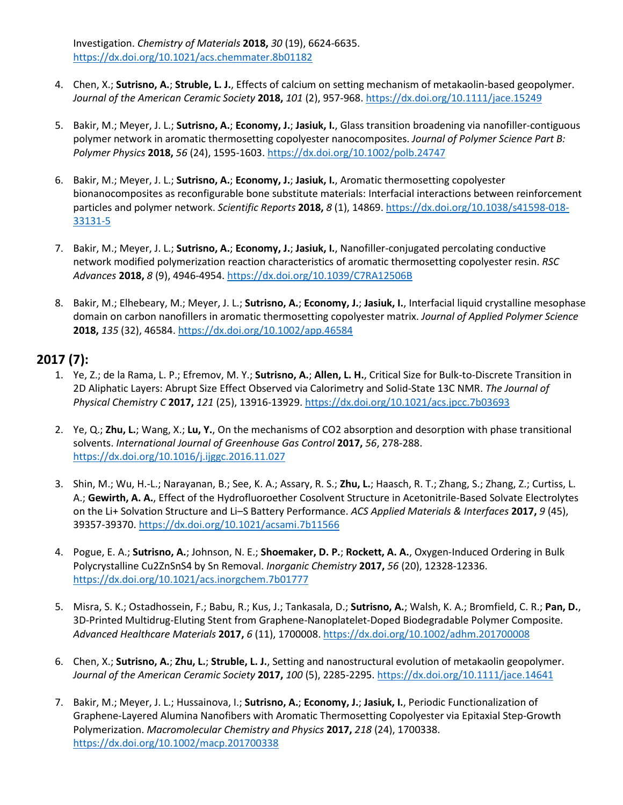Investigation. *Chemistry of Materials* **2018,** *30* (19), 6624-6635. <https://dx.doi.org/10.1021/acs.chemmater.8b01182>

- 4. Chen, X.; **Sutrisno, A.**; **Struble, L. J.**, Effects of calcium on setting mechanism of metakaolin-based geopolymer. *Journal of the American Ceramic Society* **2018,** *101* (2), 957-968[. https://dx.doi.org/10.1111/jace.15249](https://dx.doi.org/10.1111/jace.15249)
- 5. Bakir, M.; Meyer, J. L.; **Sutrisno, A.**; **Economy, J.**; **Jasiuk, I.**, Glass transition broadening via nanofiller-contiguous polymer network in aromatic thermosetting copolyester nanocomposites. *Journal of Polymer Science Part B: Polymer Physics* **2018,** *56* (24), 1595-1603.<https://dx.doi.org/10.1002/polb.24747>
- 6. Bakir, M.; Meyer, J. L.; **Sutrisno, A.**; **Economy, J.**; **Jasiuk, I.**, Aromatic thermosetting copolyester bionanocomposites as reconfigurable bone substitute materials: Interfacial interactions between reinforcement particles and polymer network. *Scientific Reports* **2018,** *8* (1), 14869[. https://dx.doi.org/10.1038/s41598-018-](https://dx.doi.org/10.1038/s41598-018-33131-5) [33131-5](https://dx.doi.org/10.1038/s41598-018-33131-5)
- 7. Bakir, M.; Meyer, J. L.; **Sutrisno, A.**; **Economy, J.**; **Jasiuk, I.**, Nanofiller-conjugated percolating conductive network modified polymerization reaction characteristics of aromatic thermosetting copolyester resin. *RSC Advances* **2018,** *8* (9), 4946-4954.<https://dx.doi.org/10.1039/C7RA12506B>
- 8. Bakir, M.; Elhebeary, M.; Meyer, J. L.; **Sutrisno, A.**; **Economy, J.**; **Jasiuk, I.**, Interfacial liquid crystalline mesophase domain on carbon nanofillers in aromatic thermosetting copolyester matrix. *Journal of Applied Polymer Science*  **2018,** *135* (32), 46584.<https://dx.doi.org/10.1002/app.46584>

#### **2017 (7):**

- 1. Ye, Z.; de la Rama, L. P.; Efremov, M. Y.; **Sutrisno, A.**; **Allen, L. H.**, Critical Size for Bulk-to-Discrete Transition in 2D Aliphatic Layers: Abrupt Size Effect Observed via Calorimetry and Solid-State 13C NMR. *The Journal of Physical Chemistry C* **2017,** *121* (25), 13916-13929.<https://dx.doi.org/10.1021/acs.jpcc.7b03693>
- 2. Ye, Q.; **Zhu, L.**; Wang, X.; **Lu, Y.**, On the mechanisms of CO2 absorption and desorption with phase transitional solvents. *International Journal of Greenhouse Gas Control* **2017,** *56*, 278-288. <https://dx.doi.org/10.1016/j.ijggc.2016.11.027>
- 3. Shin, M.; Wu, H.-L.; Narayanan, B.; See, K. A.; Assary, R. S.; **Zhu, L.**; Haasch, R. T.; Zhang, S.; Zhang, Z.; Curtiss, L. A.; **Gewirth, A. A.**, Effect of the Hydrofluoroether Cosolvent Structure in Acetonitrile-Based Solvate Electrolytes on the Li+ Solvation Structure and Li–S Battery Performance. *ACS Applied Materials & Interfaces* **2017,** *9* (45), 39357-39370[. https://dx.doi.org/10.1021/acsami.7b11566](https://dx.doi.org/10.1021/acsami.7b11566)
- 4. Pogue, E. A.; **Sutrisno, A.**; Johnson, N. E.; **Shoemaker, D. P.**; **Rockett, A. A.**, Oxygen-Induced Ordering in Bulk Polycrystalline Cu2ZnSnS4 by Sn Removal. *Inorganic Chemistry* **2017,** *56* (20), 12328-12336. <https://dx.doi.org/10.1021/acs.inorgchem.7b01777>
- 5. Misra, S. K.; Ostadhossein, F.; Babu, R.; Kus, J.; Tankasala, D.; **Sutrisno, A.**; Walsh, K. A.; Bromfield, C. R.; **Pan, D.**, 3D-Printed Multidrug-Eluting Stent from Graphene-Nanoplatelet-Doped Biodegradable Polymer Composite. *Advanced Healthcare Materials* **2017,** *6* (11), 1700008.<https://dx.doi.org/10.1002/adhm.201700008>
- 6. Chen, X.; **Sutrisno, A.**; **Zhu, L.**; **Struble, L. J.**, Setting and nanostructural evolution of metakaolin geopolymer. *Journal of the American Ceramic Society* **2017,** *100* (5), 2285-2295.<https://dx.doi.org/10.1111/jace.14641>
- 7. Bakir, M.; Meyer, J. L.; Hussainova, I.; **Sutrisno, A.**; **Economy, J.**; **Jasiuk, I.**, Periodic Functionalization of Graphene-Layered Alumina Nanofibers with Aromatic Thermosetting Copolyester via Epitaxial Step-Growth Polymerization. *Macromolecular Chemistry and Physics* **2017,** *218* (24), 1700338. <https://dx.doi.org/10.1002/macp.201700338>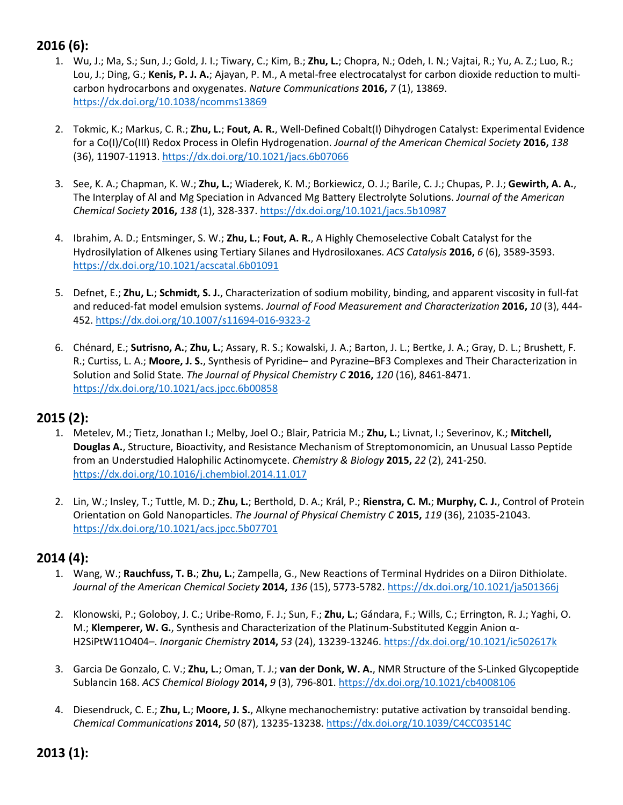# **2016 (6):**

- 1. Wu, J.; Ma, S.; Sun, J.; Gold, J. I.; Tiwary, C.; Kim, B.; **Zhu, L.**; Chopra, N.; Odeh, I. N.; Vajtai, R.; Yu, A. Z.; Luo, R.; Lou, J.; Ding, G.; **Kenis, P. J. A.**; Ajayan, P. M., A metal-free electrocatalyst for carbon dioxide reduction to multicarbon hydrocarbons and oxygenates. *Nature Communications* **2016,** *7* (1), 13869. <https://dx.doi.org/10.1038/ncomms13869>
- 2. Tokmic, K.; Markus, C. R.; **Zhu, L.**; **Fout, A. R.**, Well-Defined Cobalt(I) Dihydrogen Catalyst: Experimental Evidence for a Co(I)/Co(III) Redox Process in Olefin Hydrogenation. *Journal of the American Chemical Society* **2016,** *138* (36), 11907-11913[. https://dx.doi.org/10.1021/jacs.6b07066](https://dx.doi.org/10.1021/jacs.6b07066)
- 3. See, K. A.; Chapman, K. W.; **Zhu, L.**; Wiaderek, K. M.; Borkiewicz, O. J.; Barile, C. J.; Chupas, P. J.; **Gewirth, A. A.**, The Interplay of Al and Mg Speciation in Advanced Mg Battery Electrolyte Solutions. *Journal of the American Chemical Society* **2016,** *138* (1), 328-337. <https://dx.doi.org/10.1021/jacs.5b10987>
- 4. Ibrahim, A. D.; Entsminger, S. W.; **Zhu, L.**; **Fout, A. R.**, A Highly Chemoselective Cobalt Catalyst for the Hydrosilylation of Alkenes using Tertiary Silanes and Hydrosiloxanes. *ACS Catalysis* **2016,** *6* (6), 3589-3593. <https://dx.doi.org/10.1021/acscatal.6b01091>
- 5. Defnet, E.; **Zhu, L.**; **Schmidt, S. J.**, Characterization of sodium mobility, binding, and apparent viscosity in full-fat and reduced-fat model emulsion systems. *Journal of Food Measurement and Characterization* **2016,** *10* (3), 444- 452.<https://dx.doi.org/10.1007/s11694-016-9323-2>
- 6. Chénard, E.; **Sutrisno, A.**; **Zhu, L.**; Assary, R. S.; Kowalski, J. A.; Barton, J. L.; Bertke, J. A.; Gray, D. L.; Brushett, F. R.; Curtiss, L. A.; **Moore, J. S.**, Synthesis of Pyridine– and Pyrazine–BF3 Complexes and Their Characterization in Solution and Solid State. *The Journal of Physical Chemistry C* **2016,** *120* (16), 8461-8471. <https://dx.doi.org/10.1021/acs.jpcc.6b00858>

#### **2015 (2):**

- 1. Metelev, M.; Tietz, Jonathan I.; Melby, Joel O.; Blair, Patricia M.; **Zhu, L.**; Livnat, I.; Severinov, K.; **Mitchell, Douglas A.**, Structure, Bioactivity, and Resistance Mechanism of Streptomonomicin, an Unusual Lasso Peptide from an Understudied Halophilic Actinomycete. *Chemistry & Biology* **2015,** *22* (2), 241-250. <https://dx.doi.org/10.1016/j.chembiol.2014.11.017>
- 2. Lin, W.; Insley, T.; Tuttle, M. D.; **Zhu, L.**; Berthold, D. A.; Král, P.; **Rienstra, C. M.**; **Murphy, C. J.**, Control of Protein Orientation on Gold Nanoparticles. *The Journal of Physical Chemistry C* **2015,** *119* (36), 21035-21043. <https://dx.doi.org/10.1021/acs.jpcc.5b07701>

#### **2014 (4):**

- 1. Wang, W.; **Rauchfuss, T. B.**; **Zhu, L.**; Zampella, G., New Reactions of Terminal Hydrides on a Diiron Dithiolate. *Journal of the American Chemical Society* **2014,** *136* (15), 5773-5782.<https://dx.doi.org/10.1021/ja501366j>
- 2. Klonowski, P.; Goloboy, J. C.; Uribe-Romo, F. J.; Sun, F.; **Zhu, L.**; Gándara, F.; Wills, C.; Errington, R. J.; Yaghi, O. M.; **Klemperer, W. G.**, Synthesis and Characterization of the Platinum-Substituted Keggin Anion α-H2SiPtW11O404–. *Inorganic Chemistry* **2014,** *53* (24), 13239-13246.<https://dx.doi.org/10.1021/ic502617k>
- 3. Garcia De Gonzalo, C. V.; **Zhu, L.**; Oman, T. J.; **van der Donk, W. A.**, NMR Structure of the S-Linked Glycopeptide Sublancin 168. *ACS Chemical Biology* **2014,** *9* (3), 796-801.<https://dx.doi.org/10.1021/cb4008106>
- 4. Diesendruck, C. E.; **Zhu, L.**; **Moore, J. S.**, Alkyne mechanochemistry: putative activation by transoidal bending. *Chemical Communications* **2014,** *50* (87), 13235-13238.<https://dx.doi.org/10.1039/C4CC03514C>

**2013 (1):**